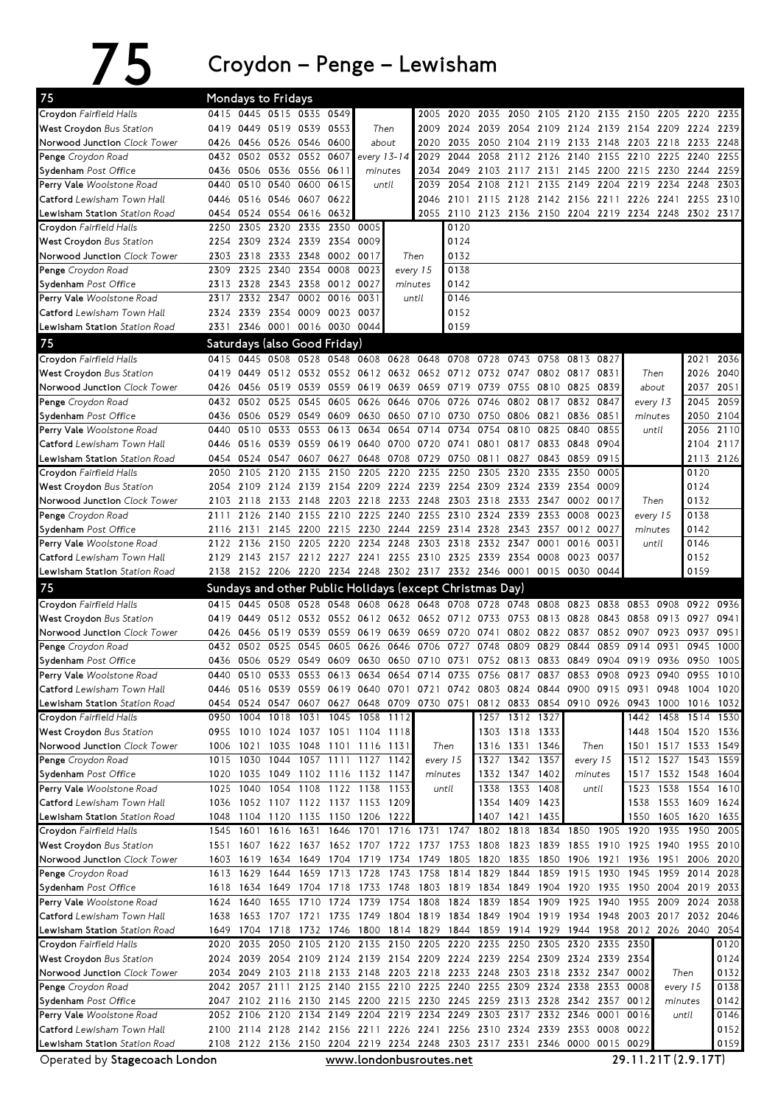75 Croydon–Penge–Lewisham

| 75                                                                                                                         | Mondays to Fridays |              |                                                          |              |                |              |                                                                                                       |              |                   |                     |                   |                                    |                                    |              |                |                   |                     |              |
|----------------------------------------------------------------------------------------------------------------------------|--------------------|--------------|----------------------------------------------------------|--------------|----------------|--------------|-------------------------------------------------------------------------------------------------------|--------------|-------------------|---------------------|-------------------|------------------------------------|------------------------------------|--------------|----------------|-------------------|---------------------|--------------|
| Croydon Fairfield Halls                                                                                                    | 0415               | 0445         | 0515 0535 0549                                           |              |                |              |                                                                                                       | 2005         | 2020              | 2035                | 2050              | 2105                               | 2120                               | 2135         | 2150           | 2205              | 2220                | 2235         |
| <b>West Croydon Bus Station</b>                                                                                            | 0419               | 0449         | 0519 0539                                                |              | 0553           |              | Then                                                                                                  | 2009         | 2024              | 2039                |                   | 2054 2109 2124                     |                                    |              | 2139 2154 2209 |                   | 2224                | 2239         |
| Norwood Junction Clock Tower                                                                                               | 0426               | 0456         | 0526 0546                                                |              | 0600           |              | about                                                                                                 | 2020         | 2035              | 2050                |                   | 2104 2119 2133                     |                                    | 2148         | 2203 2218      |                   | 2233                | 2248         |
| Penge Croydon Road                                                                                                         | 0432               | 0502         | 0532 0552                                                |              | 0607           |              | every 13-14                                                                                           | 2029         | 2044              | 2058                | 2112              | 2126 2140                          |                                    | 2155         | 2210 2225      |                   | 2240                | 2255         |
| Sydenham Post Office                                                                                                       | 0436               | 0506         |                                                          | 0536 0556    | 0611           |              | minutes                                                                                               | 2034         | 2049              | 2103                | 2117              | 2131                               | 2145                               | 2200         |                | 2215 2230         | 2244                | 2259         |
| Perry Vale Woolstone Road                                                                                                  | 0440               | 0510         | 0540                                                     | 0600         | 0615           |              | until                                                                                                 | 2039         | 2054              | 2108                | 2121              | 2135                               | 2149                               | 2204         | 2219           | 2234              | 2248                | 2303         |
| <b>Catford</b> Lewisham Town Hall                                                                                          | 0446               |              | 0516 0546 0607                                           |              | 0622           |              |                                                                                                       | 2046         |                   |                     |                   | 2101 2115 2128 2142 2156           |                                    | 2211         | 2226 2241      |                   | 2255                | 2310         |
| Lewisham Station Station Road                                                                                              |                    |              | 0454 0524 0554 0616 0632                                 |              |                |              |                                                                                                       |              | 2055 2110         |                     |                   |                                    | 2123 2136 2150 2204 2219 2234 2248 |              |                |                   | 2302 2317           |              |
| Crovdon Fairfield Halls                                                                                                    | 2250               | 2305         | 2320                                                     | 2335         | 2350           | 0005         |                                                                                                       |              | 0120              |                     |                   |                                    |                                    |              |                |                   |                     |              |
| <b>West Croydon Bus Station</b>                                                                                            | 2254<br>2303       | 2309<br>2318 | 2324 2339<br>2333 2348                                   |              | 2354<br>0002   | 0009<br>0017 |                                                                                                       | Then         | 0124<br>0132      |                     |                   |                                    |                                    |              |                |                   |                     |              |
| Norwood Junction Clock Tower<br>Penge Croydon Road                                                                         | 2309               | 2325         | 2340                                                     | 2354         | 0008           | 0023         |                                                                                                       | every 15     | 0138              |                     |                   |                                    |                                    |              |                |                   |                     |              |
| Sydenham Post Office                                                                                                       | 2313               | 2328         | 2343                                                     | 2358         | 0012 0027      |              |                                                                                                       | minutes      | 0142              |                     |                   |                                    |                                    |              |                |                   |                     |              |
| Perry Vale Woolstone Road                                                                                                  | 2317               | 2332         | 2347                                                     | 0002         | 0016           | 0031         |                                                                                                       | until        | 0146              |                     |                   |                                    |                                    |              |                |                   |                     |              |
| Catford Lewisham Town Hall                                                                                                 | 2324               | 2339         | 2354                                                     | 0009         | 0023 0037      |              |                                                                                                       |              | 0152              |                     |                   |                                    |                                    |              |                |                   |                     |              |
| Lewisham Station Station Road                                                                                              | 2331               | 2346 0001    |                                                          |              | 0016 0030 0044 |              |                                                                                                       |              | 0159              |                     |                   |                                    |                                    |              |                |                   |                     |              |
| 75                                                                                                                         |                    |              |                                                          |              |                |              |                                                                                                       |              |                   |                     |                   |                                    |                                    |              |                |                   |                     |              |
|                                                                                                                            |                    |              | Saturdays (also Good Friday)                             |              |                |              |                                                                                                       |              |                   |                     |                   |                                    |                                    |              |                |                   |                     |              |
| Crovdon Fairfield Halls                                                                                                    | 0415               | 0445         | 0508 0528                                                |              |                |              | 0548 0608 0628                                                                                        |              | 0648 0708         | 0728                | 0743              | 0758                               | 0813                               | 0827         |                |                   | 2021                | 2036         |
| <b>West Croydon Bus Station</b>                                                                                            | 0419               | 0449         |                                                          |              |                |              | 0512 0532 0552 0612 0632 0652 0712 0732 0747                                                          |              |                   |                     |                   |                                    | 0802 0817                          | 0831         |                | Then              | 2026                | 2040         |
| Norwood Junction Clock Tower                                                                                               | 0426               | 0456         | 0519                                                     | 0539<br>0545 | 0559           |              | 0619 0639                                                                                             |              | 0659 0719<br>0726 | 0739                | 0755              | 0810                               | 0825                               | 0839         |                | about             | 2037                | 2051         |
| Penge Croydon Road                                                                                                         | 0432               | 0502         | 0525                                                     |              | 0605           | 0626         | 0646                                                                                                  | 0706         |                   | 0746                | 0802<br>0806 0821 | 0817                               | 0832                               | 0847         |                | every 13          | 2045                | 2059         |
| Sydenham Post Office<br>Perry Vale Woolstone Road                                                                          | 0436<br>0440       | 0506<br>0510 | 0529 0549 0609<br>0533                                   | 0553         | 0613           | 0634         | 0630 0650<br>0654                                                                                     | 0714         | 0710 0730<br>0734 | 0750<br>0754        | 0810              | 0825                               | 0836<br>0840                       | 0851<br>0855 | minutes        | until             | 2050<br>2056        | 2104<br>2110 |
| Catford Lewisham Town Hall                                                                                                 | 0446               |              | 0516 0539                                                | 0559         | 0619           |              | 0640 0700                                                                                             |              | 0720 0741         | 0801                |                   | 0817 0833 0848                     |                                    | 0904         |                |                   | 2104 2117           |              |
| <b>Lewisham Station</b> Station Road                                                                                       | 0454               | 0524         | 0547                                                     | 0607         | 0627           |              | 0648 0708                                                                                             | 0729         | 0750              | 0811                | 0827              | 0843                               | 0859                               | 0915         |                |                   |                     | 2113 2126    |
| Croydon Fairfield Halls                                                                                                    | 2050               | 2105         | 2120                                                     | 2135         | 2150           | 2205         | 2220                                                                                                  | 2235         | 2250              | 2305                | 2320              | 2335                               | 2350                               | 0005         |                |                   | 0120                |              |
| <b>West Croydon</b> Bus Station                                                                                            | 2054               | 2109         | 2124                                                     | 2139         |                | 2154 2209    | 2224                                                                                                  | 2239         | 2254              | 2309                | 2324              | 2339                               | 2354                               | 0009         |                |                   | 0124                |              |
| Norwood Junction Clock Tower                                                                                               | 2103               | 2118         | 2133                                                     | 2148         | 2203           | 2218         | 2233                                                                                                  | 2248         | 2303              | 2318                | 2333              | 2347                               | 0002                               | 0017         |                | Then              | 0132                |              |
| Penge Croydon Road                                                                                                         | 2111               | 2126         | 2140                                                     | 2155         |                | 2210 2225    | 2240                                                                                                  |              | 2255 2310         | 2324                | 2339              | 2353                               | 0008                               | 0023         |                | every 15          | 0138                |              |
| Sydenham Post Office                                                                                                       | 2116               | 2131         | 2145                                                     | 2200         |                | 2215 2230    | 2244                                                                                                  | 2259         | 2314 2328         |                     | 2343              | 2357                               | 0012 0027                          |              | minutes        |                   | 0142                |              |
| Perry Vale Woolstone Road                                                                                                  | 2122               | 2136         | 2150                                                     | 2205         | 2220           | 2234         | 2248                                                                                                  | 2303         | 2318              | 2332 2347           |                   | 0001                               | 0016                               | 0031         |                | until             | 0146                |              |
| Catford Lewisham Town Hall                                                                                                 | 2129               |              | 2143 2157 2212 2227 2241                                 |              |                |              | 2255                                                                                                  |              |                   | 2310 2325 2339 2354 |                   | 0008                               | 0023                               | 0037         |                |                   | 0152                |              |
| Lewisham Station Station Road                                                                                              | 2138               |              |                                                          |              |                |              | 2152 2206 2220 2234 2248 2302 2317 2332 2346 0001                                                     |              |                   |                     |                   |                                    | 0015 0030                          | 0044         |                |                   | 0159                |              |
|                                                                                                                            |                    |              |                                                          |              |                |              |                                                                                                       |              |                   |                     |                   |                                    |                                    |              |                |                   |                     |              |
|                                                                                                                            |                    |              |                                                          |              |                |              |                                                                                                       |              |                   |                     |                   |                                    |                                    |              |                |                   |                     |              |
| 75                                                                                                                         |                    |              | Sundays and other Public Holidays (except Christmas Day) |              |                |              |                                                                                                       |              |                   |                     |                   |                                    |                                    |              |                |                   |                     |              |
| Croydon Fairfield Halls                                                                                                    | 0415               | 0445         | 0508 0528                                                |              | 0548           |              | 0608 0628                                                                                             | 0648         | 0708              | 0728                | 0748              | 0808                               | 0823                               | 0838         | 0853           | 0908              | 0922                | 0936         |
| <b>West Crovdon Bus Station</b>                                                                                            | 0419               | 0449         | 0512 0532                                                |              |                |              | 0552 0612 0632                                                                                        |              | 0652 0712 0733    |                     | 0753              |                                    | 0813 0828                          | 0843         |                | 0858 0913         | 0927                | 0941         |
| Norwood Junction Clock Tower                                                                                               | 0426               | 0456         | 0519 0539                                                |              |                |              | 0559 0619 0639                                                                                        |              | 0659 0720 0741    |                     |                   | 0802 0822                          | 0837                               |              | 0852 0907 0923 |                   | 0937                | 0951         |
| Penge Croydon Road                                                                                                         | 0432               | 0502 0525    |                                                          | 0545         | 0605           | 0626         | 0646                                                                                                  | 0706         | 0727              | 0748                | 0809              | 0829                               | 0844                               | 0859         | 0914           | 0931              | 0945                | 1000         |
| Sydenham Post Office                                                                                                       | 0436<br>0440       | 0506<br>0510 | 0529<br>0533                                             | 0549<br>0553 | 0609<br>0613   | 0630<br>0634 | 0650<br>0654                                                                                          | 0710<br>0714 | 0731<br>0735      | 0752<br>0756        | 0813<br>0817      | 0833<br>0837                       | 0849<br>0853                       | 0904<br>0908 | 0923           | 0919 0936<br>0940 | 0950<br>0955        | 1005<br>1010 |
| Perry Vale Woolstone Road                                                                                                  |                    |              |                                                          |              |                |              | 0446 0516 0539 0559 0619 0640 0701 0721 0742 0803 0824 0844 0900 0915                                 |              |                   |                     |                   |                                    |                                    |              |                |                   |                     | 1004 1020    |
| <b>Catford</b> Lewisham Town Hall<br>Lewisham Station Station Road                                                         |                    |              | 0454 0524 0547 0607                                      |              |                |              | 0627 0648 0709                                                                                        |              | 0730 0751         |                     |                   |                                    | 0812 0833 0854 0910 0926           |              | 0931 0948      | 0943 1000         | 1016 1032           |              |
| Croydon Fairfield Halls                                                                                                    | 0950               | 1004         | 1018                                                     | 1031         |                |              | 1045 1058 1112                                                                                        |              |                   |                     | 1257 1312 1327    |                                    |                                    |              |                | 1442 1458         | 1514 1530           |              |
| <b>West Croydon</b> Bus Station                                                                                            | 0955               | 1010         | 1024                                                     | 1037         |                |              | 1051 1104 1118                                                                                        |              |                   |                     | 1303 1318 1333    |                                    |                                    |              |                |                   | 1448 1504 1520      | 1536         |
| Norwood Junction Clock Tower                                                                                               | 1006               | 1021         |                                                          | 1035 1048    |                |              | 1101 1116 1131                                                                                        |              | Then              |                     | 1316 1331 1346    |                                    | Then                               |              | 1501           | 1517 1533         |                     | 1549         |
| Penge Croydon Road                                                                                                         | 1015               | 1030         | 1044                                                     | 1057         | 1111           |              | 1127 1142                                                                                             |              | every 15          |                     | 1327 1342         | 1357                               |                                    | every 15     |                | 1512 1527         | 1543                | 1559         |
| Sydenham Post Office                                                                                                       | 1020               | 1035         | 1049 1102 1116 1132 1147                                 |              |                |              |                                                                                                       |              | minutes           |                     | 1332 1347 1402    |                                    |                                    | minutes      |                | 1517 1532 1548    |                     | 1604         |
| Perry Vale Woolstone Road                                                                                                  | 1025               | 1040         | 1054                                                     | 1108         |                |              | 1122 1138 1153                                                                                        |              | until             | 1338                |                   | 1353 1408                          |                                    | until        | 1523           | 1538              | 1554                | 1610         |
| Catford Lewisham Town Hall                                                                                                 | 1036               |              | 1052 1107 1122 1137 1153 1209                            |              |                |              |                                                                                                       |              |                   | 1354                | 1409 1423         |                                    |                                    |              |                | 1538 1553         | 1609 1624           |              |
| Lewisham Station Station Road                                                                                              | 1048               |              | 1104 1120 1135                                           |              | 1150 1206 1222 |              |                                                                                                       |              |                   | 1407                | 1421              | 1435                               |                                    |              | 1550           | 1605              | 1620                | 1635         |
| Croydon Fairfield Halls                                                                                                    | 1545               | 1601         |                                                          | 1616 1631    |                | 1646 1701    | 1716 1731                                                                                             |              |                   | 1747 1802           | 1818              |                                    | 1834 1850                          | 1905         | 1920           | 1935              | 1950                | 2005         |
|                                                                                                                            | 1551               | 1607         | 1622 1637                                                |              |                |              | 1652 1707 1722 1737 1753                                                                              |              |                   | 1808                |                   | 1823 1839 1855                     |                                    | 1910         | 1925 1940      |                   | 1955 2010           |              |
| Norwood Junction Clock Tower                                                                                               | 1603               | 1619         | 1634 1649                                                |              | 1704 1719 1734 |              |                                                                                                       |              | 1749 1805         | 1820                | 1835              | 1850 1906                          |                                    | 1921         |                |                   | 1936 1951 2006 2020 |              |
| Penge Croydon Road                                                                                                         | 1613               | 1629         | 1644                                                     | 1659         | 1713 1728      |              | 1743                                                                                                  |              | 1758 1814         | 1829                | 1844              |                                    | 1859 1915                          | 1930         | 1945 1959      |                   | 2014                | 2028         |
| Sydenham Post Office                                                                                                       | 1618               | 1634         | 1649 1704                                                |              |                |              | 1718 1733 1748                                                                                        |              | 1803 1819         |                     | 1834 1849         | 1904 1920                          |                                    | 1935         | 1950 2004      |                   | 2019                | 2033         |
|                                                                                                                            | 1624               | 1640         | 1655                                                     | 1710         | 1724           | 1739         | 1754                                                                                                  | 1808         | 1824              | 1839                | 1854              | 1909                               | 1925                               | 1940         |                | 1955 2009         | 2024                | 2038         |
| Catford Lewisham Town Hall                                                                                                 | 1638               |              | 1653 1707 1721 1735 1749 1804                            |              |                |              |                                                                                                       |              |                   |                     |                   |                                    | 1819 1834 1849 1904 1919 1934 1948 |              |                |                   | 2003 2017 2032 2046 |              |
| <b>Lewisham Station</b> <i>Station Road</i>                                                                                | 1649               |              |                                                          |              |                |              | 1704 1718 1732 1746 1800 1814 1829 1844 1859 1914 1929 1944 1958 2012 2026 2040                       |              |                   |                     |                   |                                    |                                    |              |                |                   |                     | 2054         |
|                                                                                                                            | 2020               | 2035         | 2050                                                     | 2105         | 2120           | 2135         | 2150                                                                                                  | 2205         | 2220              | 2235                | 2250              | 2305                               | 2320                               | 2335         | 2350           |                   |                     | 0120         |
| <b>West Croydon Bus Station</b><br>Perry Vale Woolstone Road<br>Croydon Fairfield Halls<br><b>West Croydon Bus Station</b> | 2024               |              |                                                          |              |                |              | 2039 2054 2109 2124 2139 2154 2209 2224 2239 2254 2309 2324 2339 2354                                 |              |                   |                     |                   |                                    |                                    |              |                |                   |                     | 0124         |
| Norwood Junction Clock Tower                                                                                               | 2034               | 2049         | 2103 2118                                                |              |                |              | 2133 2148 2203 2218 2233 2248                                                                         |              |                   |                     |                   |                                    | 2303 2318 2332 2347 0002           |              |                |                   | Then                | 0132         |
|                                                                                                                            | 2042               | 2057         | 2111                                                     | 2125         |                |              | 2140 2155 2210 2225 2240 2255 2309 2324 2338                                                          |              |                   |                     |                   |                                    |                                    | 2353         | 0008           |                   | every 15            | 0138         |
| Penge Croydon Road<br>Sydenham Post Office                                                                                 | 2047               |              |                                                          |              |                |              | 2102 2116 2130 2145 2200 2215 2230 2245 2259 2313 2328 2342 2357                                      |              |                   |                     |                   |                                    |                                    |              | 0012           |                   | minutes             | 0142         |
| Perry Vale Woolstone Road                                                                                                  |                    | 2052 2106    | 2120 2134                                                |              |                |              | 2149 2204 2219                                                                                        |              | 2234 2249         |                     | 2303 2317         |                                    | 2332 2346                          | 0001         | 0016           |                   | until               | 0146         |
| Catford Lewisham Town Hall                                                                                                 | 2100               |              | 2114 2128 2142 2156 2211                                 |              |                |              |                                                                                                       |              |                   |                     |                   | 2226 2241 2256 2310 2324 2339 2353 |                                    | 0008         | 0022           |                   |                     | 0152         |
| Lewisham Station Station Road<br>Operated by Stagecoach London                                                             |                    |              |                                                          |              |                |              | 2108 2122 2136 2150 2204 2219 2234 2248 2303 2317 2331 2346 0000 0015 0029<br>www.londonbusroutes.net |              |                   |                     |                   |                                    |                                    |              |                |                   | 29.11.21T (2.9.17T) | 0159         |